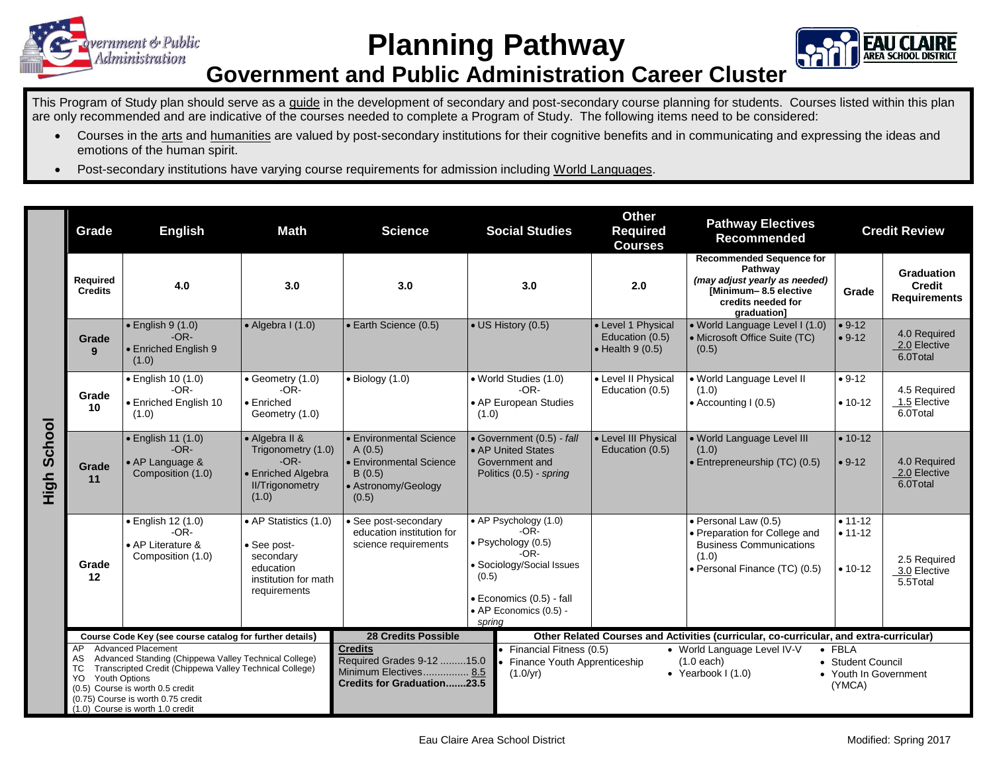

## **Planning Pathway**



## **Government and Public Administration Career Cluster**

This Program of Study plan should serve as a guide in the development of secondary and post-secondary course planning for students. Courses listed within this plan are only recommended and are indicative of the courses needed to complete a Program of Study. The following items need to be considered:

- Courses in the arts and humanities are valued by post-secondary institutions for their cognitive benefits and in communicating and expressing the ideas and emotions of the human spirit.
- Post-secondary institutions have varying course requirements for admission including World Languages.

|                | Grade                                                                                                                                                                                                                                                                                                 | <b>English</b>                                                            | <b>Math</b>                                                                                             | <b>Science</b>                                                                                            | <b>Social Studies</b>                                                                                                                                                                                               | <b>Other</b><br><b>Required</b><br><b>Courses</b>                 | <b>Pathway Electives</b><br><b>Recommended</b>                                                                                            | <b>Credit Review</b>                  |                                                    |
|----------------|-------------------------------------------------------------------------------------------------------------------------------------------------------------------------------------------------------------------------------------------------------------------------------------------------------|---------------------------------------------------------------------------|---------------------------------------------------------------------------------------------------------|-----------------------------------------------------------------------------------------------------------|---------------------------------------------------------------------------------------------------------------------------------------------------------------------------------------------------------------------|-------------------------------------------------------------------|-------------------------------------------------------------------------------------------------------------------------------------------|---------------------------------------|----------------------------------------------------|
|                | Required<br><b>Credits</b>                                                                                                                                                                                                                                                                            | 4.0                                                                       | 3.0                                                                                                     | 3.0                                                                                                       | 3.0                                                                                                                                                                                                                 | 2.0                                                               | <b>Recommended Sequence for</b><br>Pathway<br>(may adjust yearly as needed)<br>[Minimum-8.5 elective<br>credits needed for<br>graduation] | Grade                                 | Graduation<br><b>Credit</b><br><b>Requirements</b> |
| School<br>High | Grade<br>9                                                                                                                                                                                                                                                                                            | $\bullet$ English 9 (1.0)<br>$-OR-$<br><b>Enriched English 9</b><br>(1.0) | $\bullet$ Algebra I (1.0)                                                                               | • Earth Science (0.5)                                                                                     | • US History (0.5)                                                                                                                                                                                                  | • Level 1 Physical<br>Education (0.5)<br>$\bullet$ Health 9 (0.5) | · World Language Level I (1.0)<br>• Microsoft Office Suite (TC)<br>(0.5)                                                                  | $• 9-12$<br>$• 9-12$                  | 4.0 Required<br>2.0 Elective<br>6.0Total           |
|                | Grade<br>10                                                                                                                                                                                                                                                                                           | • English 10 (1.0)<br>$-OR-$<br>• Enriched English 10<br>(1.0)            | • Geometry (1.0)<br>-OR-<br>• Enriched<br>Geometry (1.0)                                                | $\bullet$ Biology (1.0)                                                                                   | • World Studies (1.0)<br>$-OR-$<br>• AP European Studies<br>(1.0)                                                                                                                                                   | • Level II Physical<br>Education (0.5)                            | • World Language Level II<br>(1.0)<br>• Accounting I (0.5)                                                                                | $• 9-12$<br>$• 10-12$                 | 4.5 Required<br>1.5 Elective<br>6.0Total           |
|                | Grade<br>11                                                                                                                                                                                                                                                                                           | • English 11 (1.0)<br>$-OR-$<br>• AP Language &<br>Composition (1.0)      | • Algebra II &<br>Trigonometry (1.0)<br>$-OR-$<br>• Enriched Algebra<br><b>II/Trigonometry</b><br>(1.0) | Environmental Science<br>A(0.5)<br><b>Environmental Science</b><br>B(0.5)<br>• Astronomy/Geology<br>(0.5) | • Government (0.5) - fall<br>• AP United States<br>Government and<br>Politics (0.5) - spring                                                                                                                        | • Level III Physical<br>Education (0.5)                           | . World Language Level III<br>(1.0)<br>• Entrepreneurship (TC) (0.5)                                                                      | $• 10-12$<br>$• 9-12$                 | 4.0 Required<br>2.0 Elective<br>6.0Total           |
|                | Grade<br>12                                                                                                                                                                                                                                                                                           | • English 12 (1.0)<br>$-OR-$<br>• AP Literature &<br>Composition (1.0)    | • AP Statistics (1.0)<br>• See post-<br>secondary<br>education<br>institution for math<br>requirements  | • See post-secondary<br>education institution for<br>science requirements                                 | • AP Psychology (1.0)<br>$-OR-$<br>$\bullet$ Psychology (0.5)<br>$-OR-$<br>• Sociology/Social Issues<br>(0.5)<br>• Economics (0.5) - fall<br>• AP Economics (0.5) -<br>spring                                       |                                                                   | • Personal Law (0.5)<br>• Preparation for College and<br><b>Business Communications</b><br>(1.0)<br>• Personal Finance (TC) (0.5)         | $• 11-12$<br>$• 11 - 12$<br>$• 10-12$ | 2.5 Required<br>3.0 Elective<br>5.5Total           |
|                | Course Code Key (see course catalog for further details)                                                                                                                                                                                                                                              |                                                                           |                                                                                                         | <b>28 Credits Possible</b>                                                                                |                                                                                                                                                                                                                     |                                                                   | Other Related Courses and Activities (curricular, co-curricular, and extra-curricular)                                                    |                                       |                                                    |
|                | <b>Advanced Placement</b><br>AP<br>Advanced Standing (Chippewa Valley Technical College)<br>AS<br>Transcripted Credit (Chippewa Valley Technical College)<br>ТC<br>Youth Options<br>YO.<br>(0.5) Course is worth 0.5 credit<br>(0.75) Course is worth 0.75 credit<br>(1.0) Course is worth 1.0 credit |                                                                           |                                                                                                         | <b>Credits</b><br>Required Grades 9-12 15.0<br>Minimum Electives 8.5<br><b>Credits for Graduation23.5</b> | Financial Fitness (0.5)<br>• World Language Level IV-V<br>$\bullet$ FBLA<br>Finance Youth Apprenticeship<br>• Student Council<br>$(1.0$ each)<br>(1.0/yr)<br>• Yearbook $1(1.0)$<br>• Youth In Government<br>(YMCA) |                                                                   |                                                                                                                                           |                                       |                                                    |